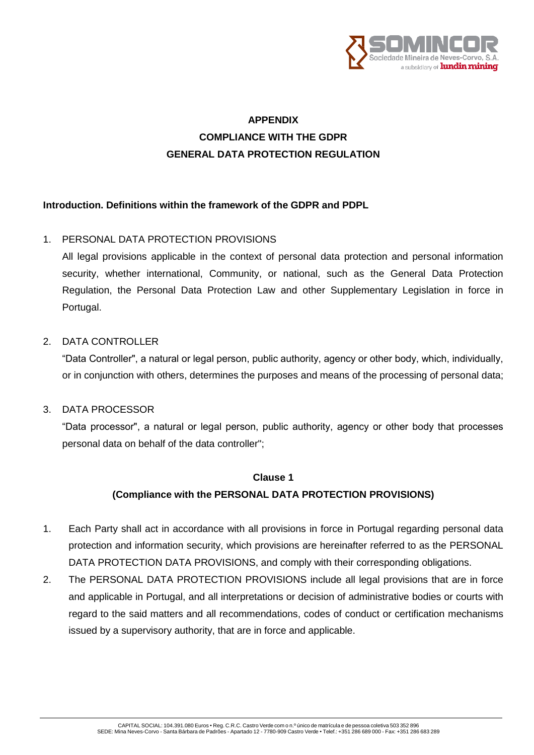

## **APPENDIX COMPLIANCE WITH THE GDPR GENERAL DATA PROTECTION REGULATION**

#### **Introduction. Definitions within the framework of the GDPR and PDPL**

#### 1. PERSONAL DATA PROTECTION PROVISIONS

All legal provisions applicable in the context of personal data protection and personal information security, whether international, Community, or national, such as the General Data Protection Regulation, the Personal Data Protection Law and other Supplementary Legislation in force in Portugal.

#### 2. DATA CONTROLLER

"Data Controller", a natural or legal person, public authority, agency or other body, which, individually, or in conjunction with others, determines the purposes and means of the processing of personal data;

#### 3. DATA PROCESSOR

"Data processor", a natural or legal person, public authority, agency or other body that processes personal data on behalf of the data controller";

#### **Clause 1**

#### **(Compliance with the PERSONAL DATA PROTECTION PROVISIONS)**

- 1. Each Party shall act in accordance with all provisions in force in Portugal regarding personal data protection and information security, which provisions are hereinafter referred to as the PERSONAL DATA PROTECTION DATA PROVISIONS, and comply with their corresponding obligations.
- 2. The PERSONAL DATA PROTECTION PROVISIONS include all legal provisions that are in force and applicable in Portugal, and all interpretations or decision of administrative bodies or courts with regard to the said matters and all recommendations, codes of conduct or certification mechanisms issued by a supervisory authority, that are in force and applicable.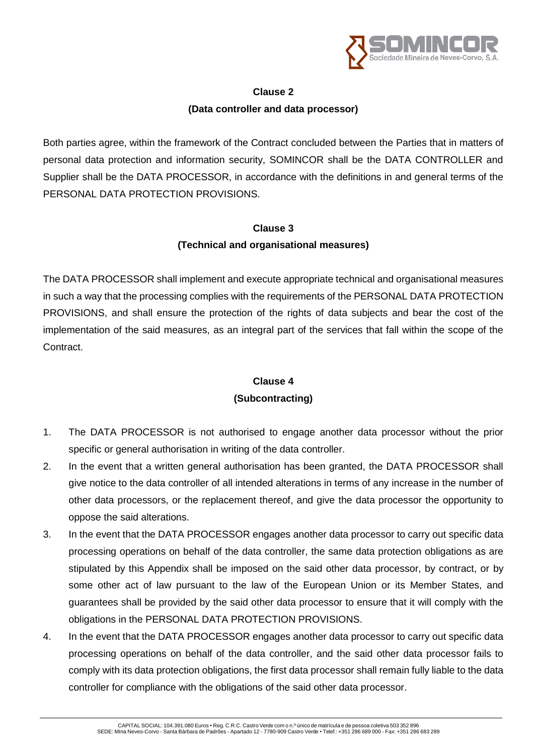

#### **Clause 2**

### **(Data controller and data processor)**

Both parties agree, within the framework of the Contract concluded between the Parties that in matters of personal data protection and information security, SOMINCOR shall be the DATA CONTROLLER and Supplier shall be the DATA PROCESSOR, in accordance with the definitions in and general terms of the PERSONAL DATA PROTECTION PROVISIONS.

#### **Clause 3**

### **(Technical and organisational measures)**

The DATA PROCESSOR shall implement and execute appropriate technical and organisational measures in such a way that the processing complies with the requirements of the PERSONAL DATA PROTECTION PROVISIONS, and shall ensure the protection of the rights of data subjects and bear the cost of the implementation of the said measures, as an integral part of the services that fall within the scope of the Contract.

## **Clause 4 (Subcontracting)**

- 1. The DATA PROCESSOR is not authorised to engage another data processor without the prior specific or general authorisation in writing of the data controller.
- 2. In the event that a written general authorisation has been granted, the DATA PROCESSOR shall give notice to the data controller of all intended alterations in terms of any increase in the number of other data processors, or the replacement thereof, and give the data processor the opportunity to oppose the said alterations.
- 3. In the event that the DATA PROCESSOR engages another data processor to carry out specific data processing operations on behalf of the data controller, the same data protection obligations as are stipulated by this Appendix shall be imposed on the said other data processor, by contract, or by some other act of law pursuant to the law of the European Union or its Member States, and guarantees shall be provided by the said other data processor to ensure that it will comply with the obligations in the PERSONAL DATA PROTECTION PROVISIONS.
- 4. In the event that the DATA PROCESSOR engages another data processor to carry out specific data processing operations on behalf of the data controller, and the said other data processor fails to comply with its data protection obligations, the first data processor shall remain fully liable to the data controller for compliance with the obligations of the said other data processor.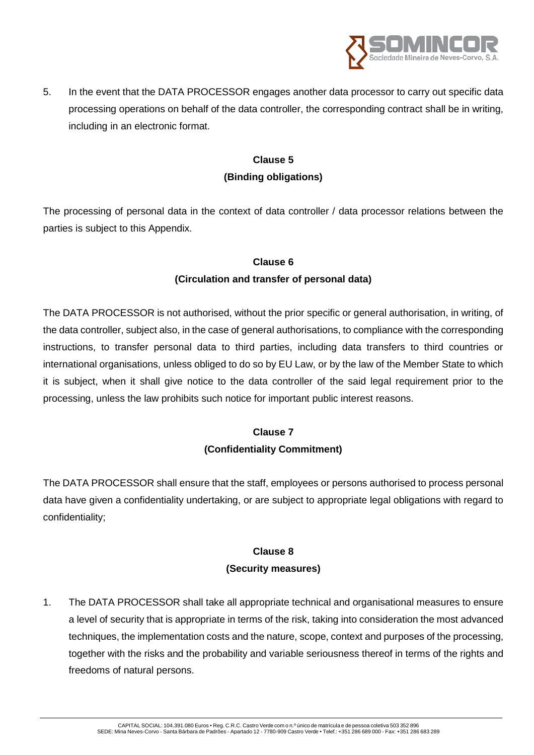

5. In the event that the DATA PROCESSOR engages another data processor to carry out specific data processing operations on behalf of the data controller, the corresponding contract shall be in writing, including in an electronic format.

## **Clause 5 (Binding obligations)**

The processing of personal data in the context of data controller / data processor relations between the parties is subject to this Appendix.

#### **Clause 6**

### **(Circulation and transfer of personal data)**

The DATA PROCESSOR is not authorised, without the prior specific or general authorisation, in writing, of the data controller, subject also, in the case of general authorisations, to compliance with the corresponding instructions, to transfer personal data to third parties, including data transfers to third countries or international organisations, unless obliged to do so by EU Law, or by the law of the Member State to which it is subject, when it shall give notice to the data controller of the said legal requirement prior to the processing, unless the law prohibits such notice for important public interest reasons.

### **Clause 7 (Confidentiality Commitment)**

The DATA PROCESSOR shall ensure that the staff, employees or persons authorised to process personal data have given a confidentiality undertaking, or are subject to appropriate legal obligations with regard to confidentiality;

## **Clause 8 (Security measures)**

1. The DATA PROCESSOR shall take all appropriate technical and organisational measures to ensure a level of security that is appropriate in terms of the risk, taking into consideration the most advanced techniques, the implementation costs and the nature, scope, context and purposes of the processing, together with the risks and the probability and variable seriousness thereof in terms of the rights and freedoms of natural persons.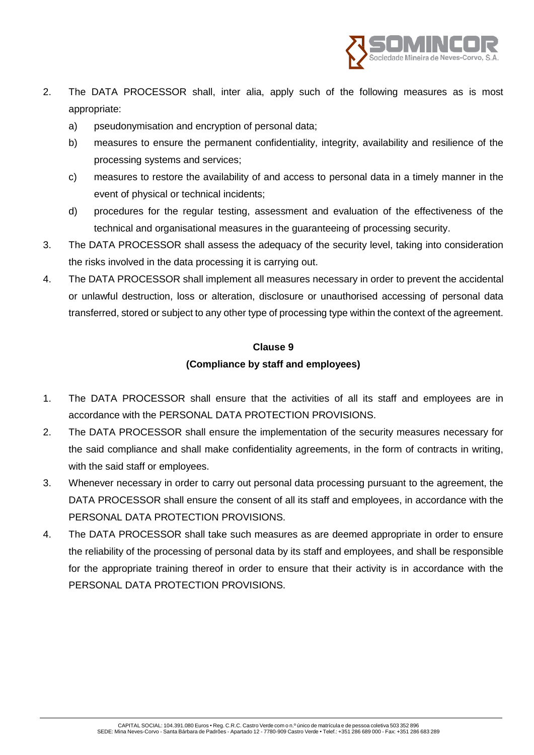

- 2. The DATA PROCESSOR shall, inter alia, apply such of the following measures as is most appropriate:
	- a) pseudonymisation and encryption of personal data;
	- b) measures to ensure the permanent confidentiality, integrity, availability and resilience of the processing systems and services;
	- c) measures to restore the availability of and access to personal data in a timely manner in the event of physical or technical incidents;
	- d) procedures for the regular testing, assessment and evaluation of the effectiveness of the technical and organisational measures in the guaranteeing of processing security.
- 3. The DATA PROCESSOR shall assess the adequacy of the security level, taking into consideration the risks involved in the data processing it is carrying out.
- 4. The DATA PROCESSOR shall implement all measures necessary in order to prevent the accidental or unlawful destruction, loss or alteration, disclosure or unauthorised accessing of personal data transferred, stored or subject to any other type of processing type within the context of the agreement.

#### **Clause 9**

#### **(Compliance by staff and employees)**

- 1. The DATA PROCESSOR shall ensure that the activities of all its staff and employees are in accordance with the PERSONAL DATA PROTECTION PROVISIONS.
- 2. The DATA PROCESSOR shall ensure the implementation of the security measures necessary for the said compliance and shall make confidentiality agreements, in the form of contracts in writing, with the said staff or employees.
- 3. Whenever necessary in order to carry out personal data processing pursuant to the agreement, the DATA PROCESSOR shall ensure the consent of all its staff and employees, in accordance with the PERSONAL DATA PROTECTION PROVISIONS.
- 4. The DATA PROCESSOR shall take such measures as are deemed appropriate in order to ensure the reliability of the processing of personal data by its staff and employees, and shall be responsible for the appropriate training thereof in order to ensure that their activity is in accordance with the PERSONAL DATA PROTECTION PROVISIONS.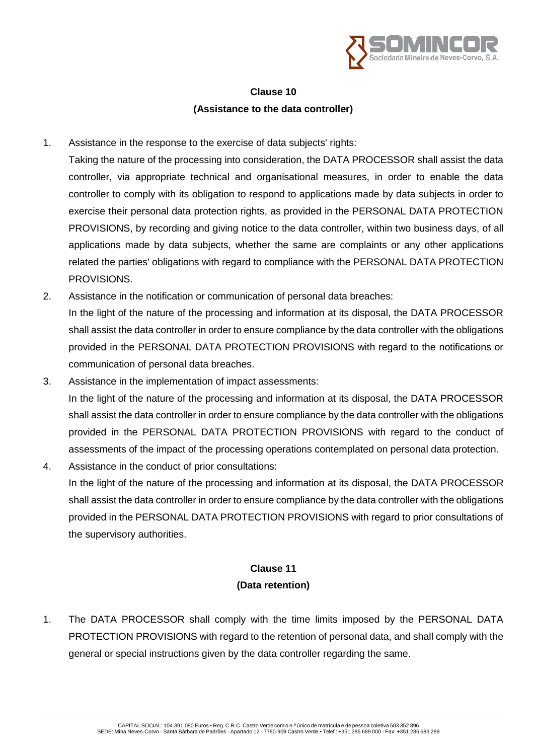

## **Clause 10 (Assistance to the data controller)**

- 1. Assistance in the response to the exercise of data subjects' rights:
	- Taking the nature of the processing into consideration, the DATA PROCESSOR shall assist the data controller, via appropriate technical and organisational measures, in order to enable the data controller to comply with its obligation to respond to applications made by data subjects in order to exercise their personal data protection rights, as provided in the PERSONAL DATA PROTECTION PROVISIONS, by recording and giving notice to the data controller, within two business days, of all applications made by data subjects, whether the same are complaints or any other applications related the parties' obligations with regard to compliance with the PERSONAL DATA PROTECTION PROVISIONS.
- 2. Assistance in the notification or communication of personal data breaches: In the light of the nature of the processing and information at its disposal, the DATA PROCESSOR shall assist the data controller in order to ensure compliance by the data controller with the obligations provided in the PERSONAL DATA PROTECTION PROVISIONS with regard to the notifications or communication of personal data breaches.
- 3. Assistance in the implementation of impact assessments: In the light of the nature of the processing and information at its disposal, the DATA PROCESSOR shall assist the data controller in order to ensure compliance by the data controller with the obligations provided in the PERSONAL DATA PROTECTION PROVISIONS with regard to the conduct of assessments of the impact of the processing operations contemplated on personal data protection.
- 4. Assistance in the conduct of prior consultations: In the light of the nature of the processing and information at its disposal, the DATA PROCESSOR shall assist the data controller in order to ensure compliance by the data controller with the obligations provided in the PERSONAL DATA PROTECTION PROVISIONS with regard to prior consultations of the supervisory authorities.

## **Clause 11 (Data retention)**

1. The DATA PROCESSOR shall comply with the time limits imposed by the PERSONAL DATA PROTECTION PROVISIONS with regard to the retention of personal data, and shall comply with the general or special instructions given by the data controller regarding the same.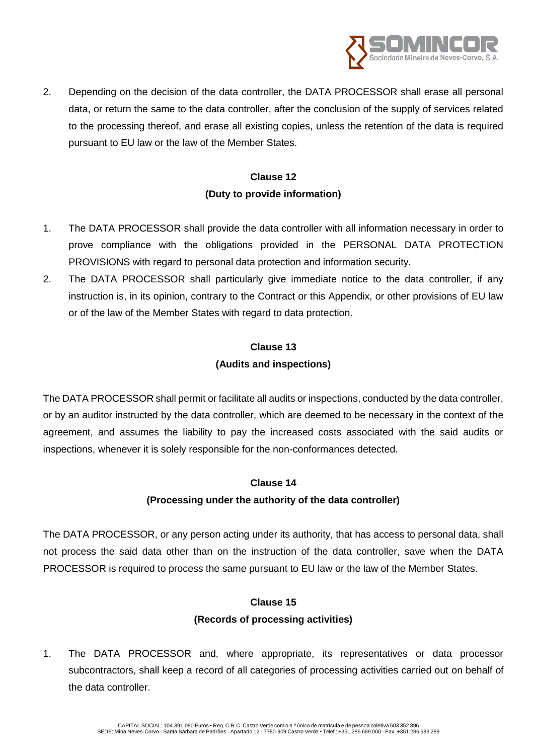

2. Depending on the decision of the data controller, the DATA PROCESSOR shall erase all personal data, or return the same to the data controller, after the conclusion of the supply of services related to the processing thereof, and erase all existing copies, unless the retention of the data is required pursuant to EU law or the law of the Member States.

## **Clause 12 (Duty to provide information)**

- 1. The DATA PROCESSOR shall provide the data controller with all information necessary in order to prove compliance with the obligations provided in the PERSONAL DATA PROTECTION PROVISIONS with regard to personal data protection and information security.
- 2. The DATA PROCESSOR shall particularly give immediate notice to the data controller, if any instruction is, in its opinion, contrary to the Contract or this Appendix, or other provisions of EU law or of the law of the Member States with regard to data protection.

# **Clause 13**

## **(Audits and inspections)**

The DATA PROCESSOR shall permit or facilitate all audits or inspections, conducted by the data controller, or by an auditor instructed by the data controller, which are deemed to be necessary in the context of the agreement, and assumes the liability to pay the increased costs associated with the said audits or inspections, whenever it is solely responsible for the non-conformances detected.

### **Clause 14**

### **(Processing under the authority of the data controller)**

The DATA PROCESSOR, or any person acting under its authority, that has access to personal data, shall not process the said data other than on the instruction of the data controller, save when the DATA PROCESSOR is required to process the same pursuant to EU law or the law of the Member States.

### **Clause 15**

### **(Records of processing activities)**

1. The DATA PROCESSOR and, where appropriate, its representatives or data processor subcontractors, shall keep a record of all categories of processing activities carried out on behalf of the data controller.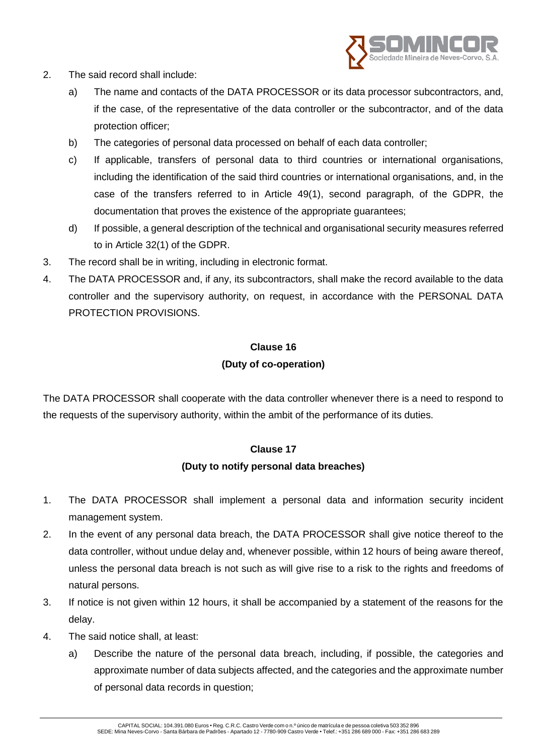

- 2. The said record shall include:
	- a) The name and contacts of the DATA PROCESSOR or its data processor subcontractors, and, if the case, of the representative of the data controller or the subcontractor, and of the data protection officer;
	- b) The categories of personal data processed on behalf of each data controller;
	- c) If applicable, transfers of personal data to third countries or international organisations, including the identification of the said third countries or international organisations, and, in the case of the transfers referred to in Article 49(1), second paragraph, of the GDPR, the documentation that proves the existence of the appropriate guarantees;
	- d) If possible, a general description of the technical and organisational security measures referred to in Article 32(1) of the GDPR.
- 3. The record shall be in writing, including in electronic format.
- 4. The DATA PROCESSOR and, if any, its subcontractors, shall make the record available to the data controller and the supervisory authority, on request, in accordance with the PERSONAL DATA PROTECTION PROVISIONS.

## **Clause 16 (Duty of co-operation)**

The DATA PROCESSOR shall cooperate with the data controller whenever there is a need to respond to the requests of the supervisory authority, within the ambit of the performance of its duties.

#### **Clause 17**

#### **(Duty to notify personal data breaches)**

- 1. The DATA PROCESSOR shall implement a personal data and information security incident management system.
- 2. In the event of any personal data breach, the DATA PROCESSOR shall give notice thereof to the data controller, without undue delay and, whenever possible, within 12 hours of being aware thereof, unless the personal data breach is not such as will give rise to a risk to the rights and freedoms of natural persons.
- 3. If notice is not given within 12 hours, it shall be accompanied by a statement of the reasons for the delay.
- 4. The said notice shall, at least:
	- a) Describe the nature of the personal data breach, including, if possible, the categories and approximate number of data subjects affected, and the categories and the approximate number of personal data records in question;